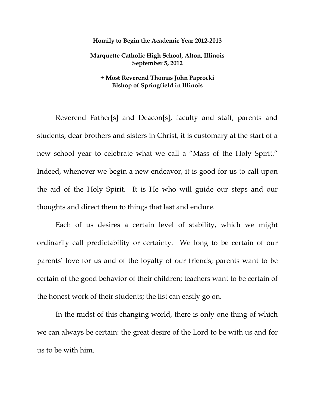## **Homily to Begin the Academic Year 2012-2013**

## **Marquette Catholic High School, Alton, Illinois September 5, 2012**

## **+ Most Reverend Thomas John Paprocki Bishop of Springfield in Illinois**

Reverend Father[s] and Deacon[s], faculty and staff, parents and students, dear brothers and sisters in Christ, it is customary at the start of a new school year to celebrate what we call a "Mass of the Holy Spirit." Indeed, whenever we begin a new endeavor, it is good for us to call upon the aid of the Holy Spirit. It is He who will guide our steps and our thoughts and direct them to things that last and endure.

Each of us desires a certain level of stability, which we might ordinarily call predictability or certainty. We long to be certain of our parents' love for us and of the loyalty of our friends; parents want to be certain of the good behavior of their children; teachers want to be certain of the honest work of their students; the list can easily go on.

In the midst of this changing world, there is only one thing of which we can always be certain: the great desire of the Lord to be with us and for us to be with him.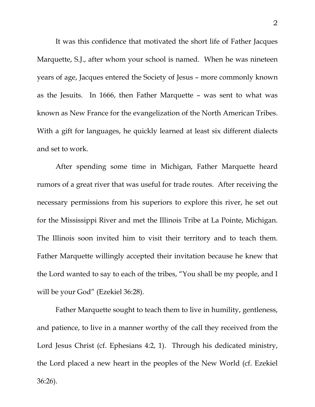It was this confidence that motivated the short life of Father Jacques Marquette, S.J., after whom your school is named. When he was nineteen years of age, Jacques entered the Society of Jesus – more commonly known as the Jesuits. In 1666, then Father Marquette – was sent to what was known as New France for the evangelization of the North American Tribes. With a gift for languages, he quickly learned at least six different dialects and set to work.

After spending some time in Michigan, Father Marquette heard rumors of a great river that was useful for trade routes. After receiving the necessary permissions from his superiors to explore this river, he set out for the Mississippi River and met the Illinois Tribe at La Pointe, Michigan. The Illinois soon invited him to visit their territory and to teach them. Father Marquette willingly accepted their invitation because he knew that the Lord wanted to say to each of the tribes, "You shall be my people, and I will be your God" (Ezekiel 36:28).

Father Marquette sought to teach them to live in humility, gentleness, and patience, to live in a manner worthy of the call they received from the Lord Jesus Christ (cf. Ephesians 4:2, 1). Through his dedicated ministry, the Lord placed a new heart in the peoples of the New World (cf. Ezekiel 36:26).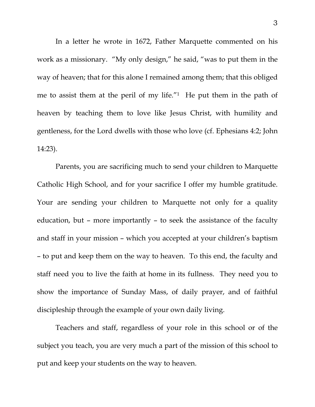In a letter he wrote in 1672, Father Marquette commented on his work as a missionary. "My only design," he said, "was to put them in the way of heaven; that for this alone I remained among them; that this obliged me to assist them at the peril of my life."1 He put them in the path of heaven by teaching them to love like Jesus Christ, with humility and gentleness, for the Lord dwells with those who love (cf. Ephesians 4:2; John 14:23).

Parents, you are sacrificing much to send your children to Marquette Catholic High School, and for your sacrifice I offer my humble gratitude. Your are sending your children to Marquette not only for a quality education, but – more importantly – to seek the assistance of the faculty and staff in your mission – which you accepted at your children's baptism – to put and keep them on the way to heaven. To this end, the faculty and staff need you to live the faith at home in its fullness. They need you to show the importance of Sunday Mass, of daily prayer, and of faithful discipleship through the example of your own daily living.

Teachers and staff, regardless of your role in this school or of the subject you teach, you are very much a part of the mission of this school to put and keep your students on the way to heaven.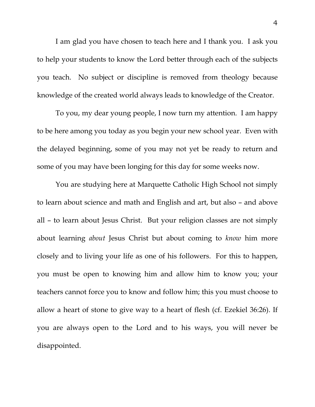I am glad you have chosen to teach here and I thank you. I ask you to help your students to know the Lord better through each of the subjects you teach. No subject or discipline is removed from theology because knowledge of the created world always leads to knowledge of the Creator.

To you, my dear young people, I now turn my attention. I am happy to be here among you today as you begin your new school year. Even with the delayed beginning, some of you may not yet be ready to return and some of you may have been longing for this day for some weeks now.

You are studying here at Marquette Catholic High School not simply to learn about science and math and English and art, but also – and above all – to learn about Jesus Christ. But your religion classes are not simply about learning *about* Jesus Christ but about coming to *know* him more closely and to living your life as one of his followers. For this to happen, you must be open to knowing him and allow him to know you; your teachers cannot force you to know and follow him; this you must choose to allow a heart of stone to give way to a heart of flesh (cf. Ezekiel 36:26). If you are always open to the Lord and to his ways, you will never be disappointed.